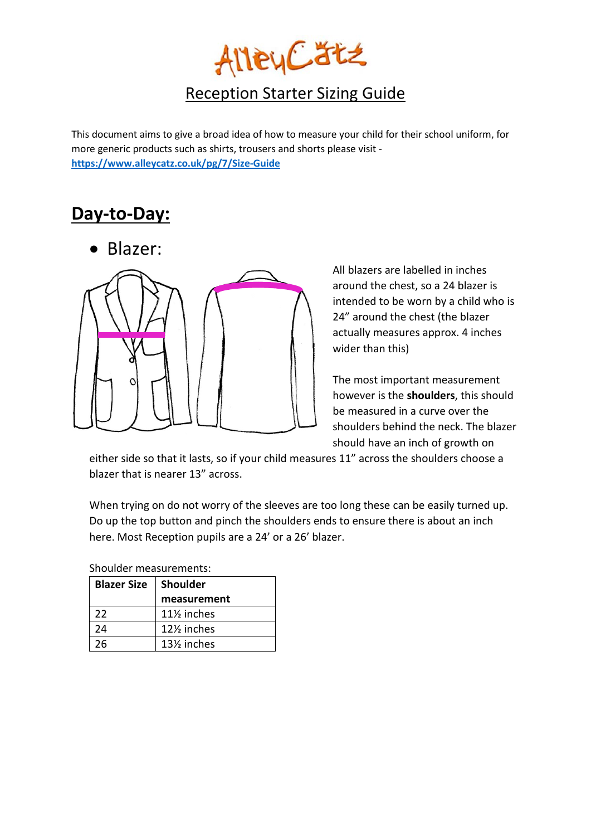

## Reception Starter Sizing Guide

This document aims to give a broad idea of how to measure your child for their school uniform, for more generic products such as shirts, trousers and shorts please visit **<https://www.alleycatz.co.uk/pg/7/Size-Guide>**

## **Day-to-Day:**

• Blazer:



All blazers are labelled in inches around the chest, so a 24 blazer is intended to be worn by a child who is 24" around the chest (the blazer actually measures approx. 4 inches wider than this)

The most important measurement however is the **shoulders**, this should be measured in a curve over the shoulders behind the neck. The blazer should have an inch of growth on

either side so that it lasts, so if your child measures 11" across the shoulders choose a blazer that is nearer 13" across.

When trying on do not worry of the sleeves are too long these can be easily turned up. Do up the top button and pinch the shoulders ends to ensure there is about an inch here. Most Reception pupils are a 24' or a 26' blazer.

Shoulder measurements:

| <b>Blazer Size</b> | <b>Shoulder</b>                       |  |  |
|--------------------|---------------------------------------|--|--|
|                    | measurement                           |  |  |
| 22                 | 11 <sup>/2</sup> inches               |  |  |
| 24                 | 12 <sup>1</sup> / <sub>2</sub> inches |  |  |
| 26                 | 13% inches                            |  |  |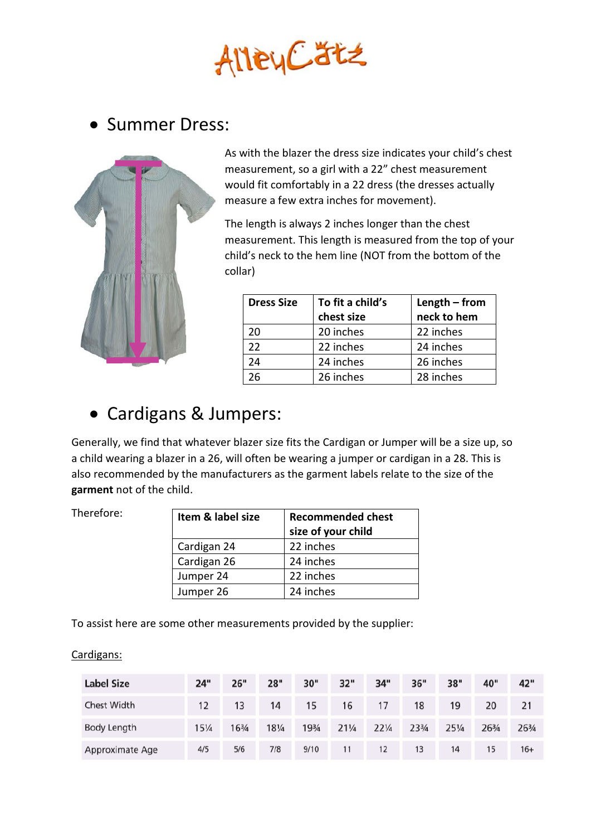

## • Summer Dress:



As with the blazer the dress size indicates your child's chest measurement, so a girl with a 22" chest measurement would fit comfortably in a 22 dress (the dresses actually measure a few extra inches for movement).

The length is always 2 inches longer than the chest measurement. This length is measured from the top of your child's neck to the hem line (NOT from the bottom of the collar)

| <b>Dress Size</b> | To fit a child's | Length $-$ from |
|-------------------|------------------|-----------------|
|                   | chest size       | neck to hem     |
| 20                | 20 inches        | 22 inches       |
| 22                | 22 inches        | 24 inches       |
| 24                | 24 inches        | 26 inches       |
| 26                | 26 inches        | 28 inches       |

## • Cardigans & Jumpers:

Generally, we find that whatever blazer size fits the Cardigan or Jumper will be a size up, so a child wearing a blazer in a 26, will often be wearing a jumper or cardigan in a 28. This is also recommended by the manufacturers as the garment labels relate to the size of the **garment** not of the child.

Therefore:

| Item & label size | <b>Recommended chest</b><br>size of your child |
|-------------------|------------------------------------------------|
| Cardigan 24       | 22 inches                                      |
| Cardigan 26       | 24 inches                                      |
| Jumper 24         | 22 inches                                      |
| Jumper 26         | 24 inches                                      |

To assist here are some other measurements provided by the supplier:

#### Cardigans:

| <b>Label Size</b> | 24"   | 26"   | 28"             | 30"   | 32"             | 34"             | 36" | 38"             | 40"   | 42"   |
|-------------------|-------|-------|-----------------|-------|-----------------|-----------------|-----|-----------------|-------|-------|
| Chest Width       | 12    | 13    | 14              | 15    | 16              | 17              | 18  | 19              | 20    | 21    |
| Body Length       | 151/4 | 163/4 | $18\frac{1}{4}$ | 193/4 | $21\frac{1}{4}$ | $22\frac{1}{4}$ | 234 | $25\frac{1}{4}$ | 263/4 | 263/4 |
| Approximate Age   | 4/5   | 5/6   | 7/8             | 9/10  | 11              | 12              | 13  | 14              | 15    | $16+$ |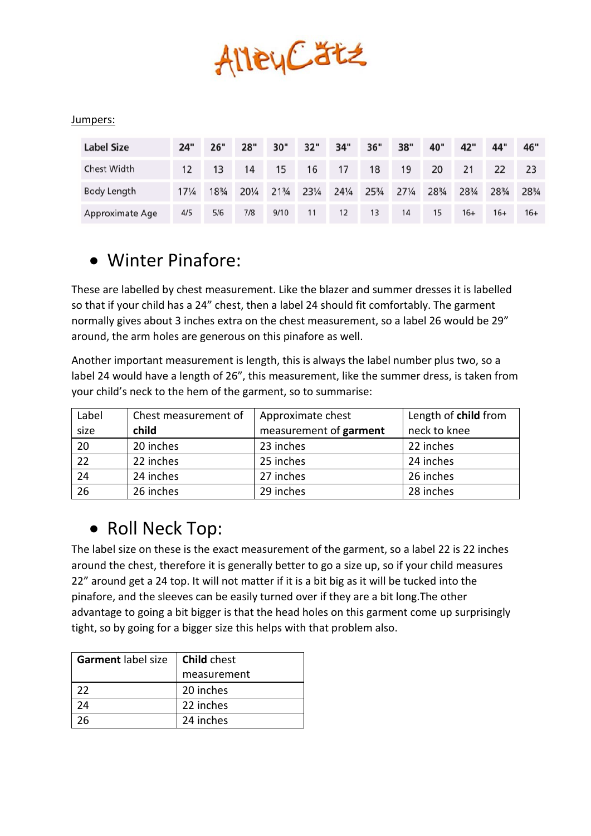

#### Jumpers:

| <b>Label Size</b>  | 24"             | 26" | 28"   | 30"             | 32"   | 34"             | 36"   | 38"             | 40"   | 42"   | 44"   | 46"   |
|--------------------|-----------------|-----|-------|-----------------|-------|-----------------|-------|-----------------|-------|-------|-------|-------|
| <b>Chest Width</b> | 12              | 13  | 14    | 15              | 16    | 17              | 18    | 19              | 20    | 21    | 22    |       |
| Body Length        | $17\frac{1}{4}$ | 18¾ | 201/4 | $21\frac{3}{4}$ | 231/4 | $24\frac{1}{4}$ | 253/4 | $27\frac{1}{4}$ | 283/4 | 283/4 | 283/4 | 28¾   |
| Approximate Age    | 4/5             | 5/6 | 7/8   | 9/10            | 11    | 12              | 13    | 14              | 15    | $16+$ | $16+$ | $16+$ |

## • Winter Pinafore:

These are labelled by chest measurement. Like the blazer and summer dresses it is labelled so that if your child has a 24" chest, then a label 24 should fit comfortably. The garment normally gives about 3 inches extra on the chest measurement, so a label 26 would be 29" around, the arm holes are generous on this pinafore as well.

Another important measurement is length, this is always the label number plus two, so a label 24 would have a length of 26", this measurement, like the summer dress, is taken from your child's neck to the hem of the garment, so to summarise:

| Label | Chest measurement of | Approximate chest      | Length of child from |
|-------|----------------------|------------------------|----------------------|
| size  | child                | measurement of garment | neck to knee         |
| 20    | 20 inches            | 23 inches              | 22 inches            |
| 22    | 22 inches            | 25 inches              | 24 inches            |
| 24    | 24 inches            | 27 inches              | 26 inches            |
| 26    | 26 inches            | 29 inches              | 28 inches            |

## • Roll Neck Top:

The label size on these is the exact measurement of the garment, so a label 22 is 22 inches around the chest, therefore it is generally better to go a size up, so if your child measures 22" around get a 24 top. It will not matter if it is a bit big as it will be tucked into the pinafore, and the sleeves can be easily turned over if they are a bit long.The other advantage to going a bit bigger is that the head holes on this garment come up surprisingly tight, so by going for a bigger size this helps with that problem also.

| Garment label size | <b>Child</b> chest |
|--------------------|--------------------|
|                    | measurement        |
| 22                 | 20 inches          |
| 24                 | 22 inches          |
|                    | 24 inches          |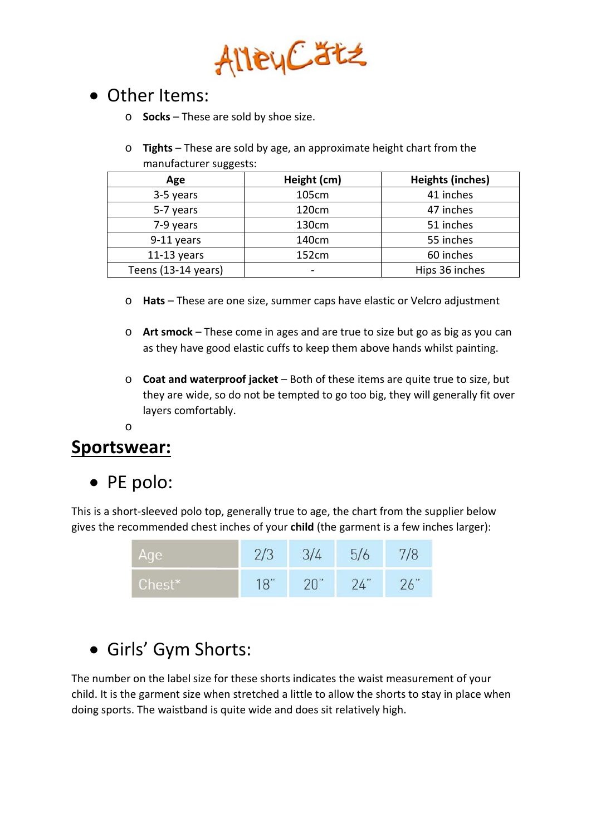

## • Other Items:

- o **Socks** These are sold by shoe size.
- o **Tights** These are sold by age, an approximate height chart from the manufacturer suggests:

| Age                 | Height (cm) | <b>Heights (inches)</b> |
|---------------------|-------------|-------------------------|
| 3-5 years           | 105cm       | 41 inches               |
| 5-7 years           | 120cm       | 47 inches               |
| 7-9 years           | 130cm       | 51 inches               |
| 9-11 years          | 140cm       | 55 inches               |
| $11-13$ years       | 152cm       | 60 inches               |
| Teens (13-14 years) |             | Hips 36 inches          |

- o **Hats** These are one size, summer caps have elastic or Velcro adjustment
- o **Art smock**  These come in ages and are true to size but go as big as you can as they have good elastic cuffs to keep them above hands whilst painting.
- o **Coat and waterproof jacket**  Both of these items are quite true to size, but they are wide, so do not be tempted to go too big, they will generally fit over layers comfortably.

#### o

#### **Sportswear:**

• PE polo:

This is a short-sleeved polo top, generally true to age, the chart from the supplier below gives the recommended chest inches of your **child** (the garment is a few inches larger):

| Age    | 2/3 | 3/4 | 5/6 |     |
|--------|-----|-----|-----|-----|
| Chest* | 18" | 20" | 24" | 26" |

## • Girls' Gym Shorts:

The number on the label size for these shorts indicates the waist measurement of your child. It is the garment size when stretched a little to allow the shorts to stay in place when doing sports. The waistband is quite wide and does sit relatively high.